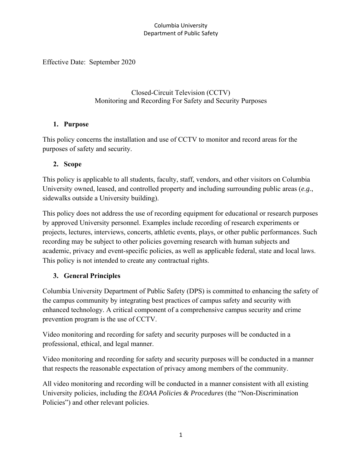Effective Date: September 2020

Closed-Circuit Television (CCTV) Monitoring and Recording For Safety and Security Purposes

### **1. Purpose**

This policy concerns the installation and use of CCTV to monitor and record areas for the purposes of safety and security.

## **2. Scope**

This policy is applicable to all students, faculty, staff, vendors, and other visitors on Columbia University owned, leased, and controlled property and including surrounding public areas (*e.g.*, sidewalks outside a University building).

This policy does not address the use of recording equipment for educational or research purposes by approved University personnel. Examples include recording of research experiments or projects, lectures, interviews, concerts, athletic events, plays, or other public performances. Such recording may be subject to other policies governing research with human subjects and academic, privacy and event-specific policies, as well as applicable federal, state and local laws. This policy is not intended to create any contractual rights.

## **3. General Principles**

Columbia University Department of Public Safety (DPS) is committed to enhancing the safety of the campus community by integrating best practices of campus safety and security with enhanced technology. A critical component of a comprehensive campus security and crime prevention program is the use of CCTV.

Video monitoring and recording for safety and security purposes will be conducted in a professional, ethical, and legal manner.

Video monitoring and recording for safety and security purposes will be conducted in a manner that respects the reasonable expectation of privacy among members of the community.

All video monitoring and recording will be conducted in a manner consistent with all existing University policies, including the *EOAA Policies & Procedures* (the "Non-Discrimination Policies") and other relevant policies.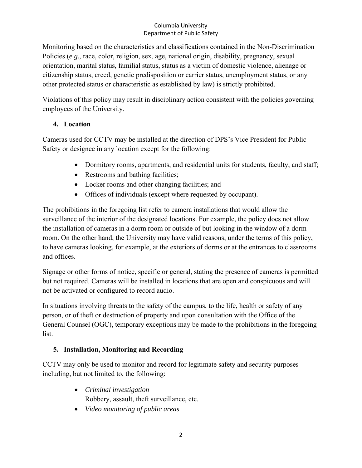Monitoring based on the characteristics and classifications contained in the Non-Discrimination Policies (*e.g.*, race, color, religion, sex, age, national origin, disability, pregnancy, sexual orientation, marital status, familial status, status as a victim of domestic violence, alienage or citizenship status, creed, genetic predisposition or carrier status, unemployment status, or any other protected status or characteristic as established by law) is strictly prohibited.

Violations of this policy may result in disciplinary action consistent with the policies governing employees of the University.

## **4. Location**

Cameras used for CCTV may be installed at the direction of DPS's Vice President for Public Safety or designee in any location except for the following:

- Dormitory rooms, apartments, and residential units for students, faculty, and staff;
- Restrooms and bathing facilities;
- Locker rooms and other changing facilities; and
- Offices of individuals (except where requested by occupant).

The prohibitions in the foregoing list refer to camera installations that would allow the surveillance of the interior of the designated locations. For example, the policy does not allow the installation of cameras in a dorm room or outside of but looking in the window of a dorm room. On the other hand, the University may have valid reasons, under the terms of this policy, to have cameras looking, for example, at the exteriors of dorms or at the entrances to classrooms and offices.

Signage or other forms of notice, specific or general, stating the presence of cameras is permitted but not required. Cameras will be installed in locations that are open and conspicuous and will not be activated or configured to record audio.

In situations involving threats to the safety of the campus, to the life, health or safety of any person, or of theft or destruction of property and upon consultation with the Office of the General Counsel (OGC), temporary exceptions may be made to the prohibitions in the foregoing list.

## **5. Installation, Monitoring and Recording**

CCTV may only be used to monitor and record for legitimate safety and security purposes including, but not limited to, the following:

- *Criminal investigation* Robbery, assault, theft surveillance, etc.
- *Video monitoring of public areas*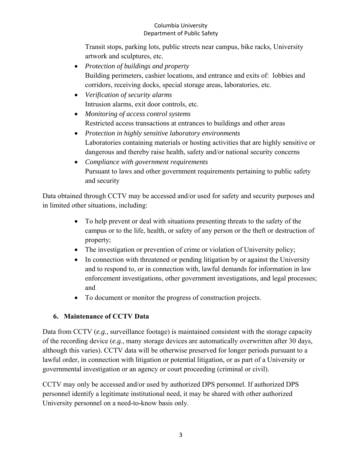Transit stops, parking lots, public streets near campus, bike racks, University artwork and sculptures, etc.

- *Protection of buildings and property* Building perimeters, cashier locations, and entrance and exits of: lobbies and corridors, receiving docks, special storage areas, laboratories, etc.
- *Verification of security alarms* Intrusion alarms, exit door controls, etc.
- *Monitoring of access control systems* Restricted access transactions at entrances to buildings and other areas
- *Protection in highly sensitive laboratory environments* Laboratories containing materials or hosting activities that are highly sensitive or dangerous and thereby raise health, safety and/or national security concerns
- *Compliance with government requirements* Pursuant to laws and other government requirements pertaining to public safety and security

Data obtained through CCTV may be accessed and/or used for safety and security purposes and in limited other situations, including:

- To help prevent or deal with situations presenting threats to the safety of the campus or to the life, health, or safety of any person or the theft or destruction of property;
- The investigation or prevention of crime or violation of University policy;
- In connection with threatened or pending litigation by or against the University and to respond to, or in connection with, lawful demands for information in law enforcement investigations, other government investigations, and legal processes; and
- To document or monitor the progress of construction projects.

# **6. Maintenance of CCTV Data**

Data from CCTV (*e.g.*, surveillance footage) is maintained consistent with the storage capacity of the recording device (*e.g.*, many storage devices are automatically overwritten after 30 days, although this varies). CCTV data will be otherwise preserved for longer periods pursuant to a lawful order, in connection with litigation or potential litigation, or as part of a University or governmental investigation or an agency or court proceeding (criminal or civil).

CCTV may only be accessed and/or used by authorized DPS personnel. If authorized DPS personnel identify a legitimate institutional need, it may be shared with other authorized University personnel on a need-to-know basis only.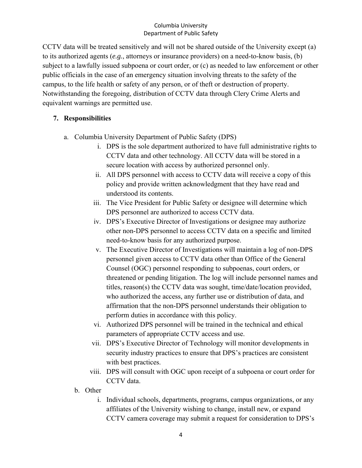CCTV data will be treated sensitively and will not be shared outside of the University except (a) to its authorized agents (*e.g.*, attorneys or insurance providers) on a need-to-know basis, (b) subject to a lawfully issued subpoena or court order, or (c) as needed to law enforcement or other public officials in the case of an emergency situation involving threats to the safety of the campus, to the life health or safety of any person, or of theft or destruction of property. Notwithstanding the foregoing, distribution of CCTV data through Clery Crime Alerts and equivalent warnings are permitted use.

### **7. Responsibilities**

- a. Columbia University Department of Public Safety (DPS)
	- i. DPS is the sole department authorized to have full administrative rights to CCTV data and other technology. All CCTV data will be stored in a secure location with access by authorized personnel only.
	- ii. All DPS personnel with access to CCTV data will receive a copy of this policy and provide written acknowledgment that they have read and understood its contents.
	- iii. The Vice President for Public Safety or designee will determine which DPS personnel are authorized to access CCTV data.
	- iv. DPS's Executive Director of Investigations or designee may authorize other non-DPS personnel to access CCTV data on a specific and limited need-to-know basis for any authorized purpose.
	- v. The Executive Director of Investigations will maintain a log of non-DPS personnel given access to CCTV data other than Office of the General Counsel (OGC) personnel responding to subpoenas, court orders, or threatened or pending litigation. The log will include personnel names and titles, reason(s) the CCTV data was sought, time/date/location provided, who authorized the access, any further use or distribution of data, and affirmation that the non-DPS personnel understands their obligation to perform duties in accordance with this policy.
	- vi. Authorized DPS personnel will be trained in the technical and ethical parameters of appropriate CCTV access and use.
	- vii. DPS's Executive Director of Technology will monitor developments in security industry practices to ensure that DPS's practices are consistent with best practices.
	- viii. DPS will consult with OGC upon receipt of a subpoena or court order for CCTV data.
	- b. Other
		- i. Individual schools, departments, programs, campus organizations, or any affiliates of the University wishing to change, install new, or expand CCTV camera coverage may submit a request for consideration to DPS's